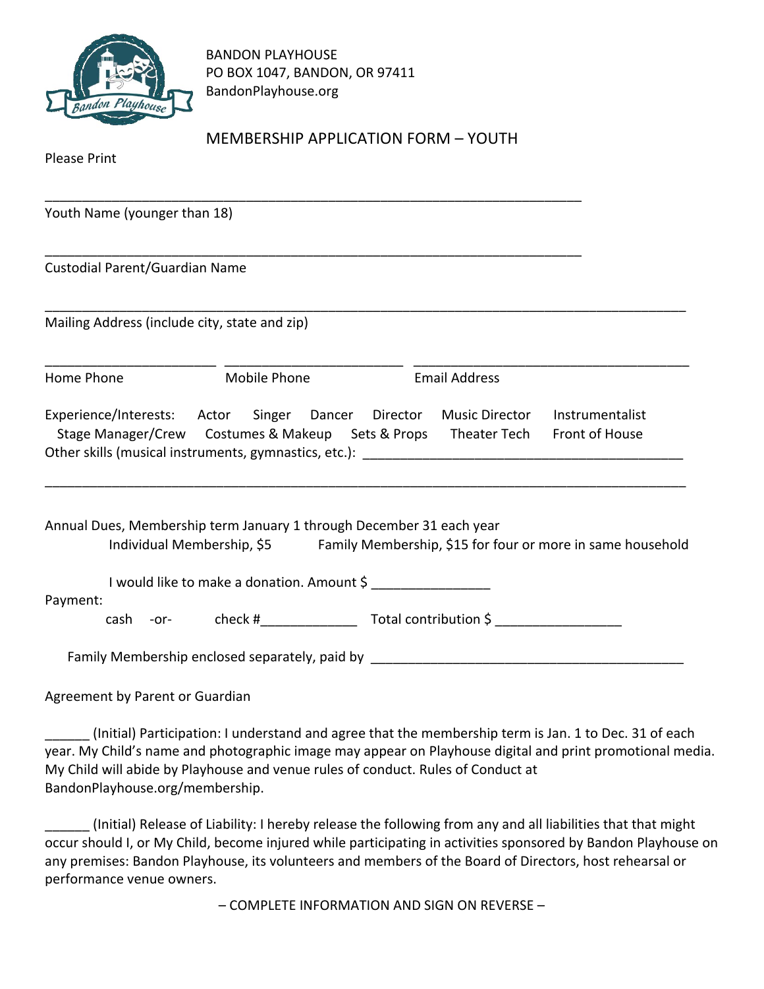

BANDON PLAYHOUSE PO BOX 1047, BANDON, OR 97411 BandonPlayhouse.org

\_\_\_\_\_\_\_\_\_\_\_\_\_\_\_\_\_\_\_\_\_\_\_\_\_\_\_\_\_\_\_\_\_\_\_\_\_\_\_\_\_\_\_\_\_\_\_\_\_\_\_\_\_\_\_\_\_\_\_\_\_\_\_\_\_\_\_\_\_\_\_\_

\_\_\_\_\_\_\_\_\_\_\_\_\_\_\_\_\_\_\_\_\_\_\_\_\_\_\_\_\_\_\_\_\_\_\_\_\_\_\_\_\_\_\_\_\_\_\_\_\_\_\_\_\_\_\_\_\_\_\_\_\_\_\_\_\_\_\_\_\_\_\_\_

## MEMBERSHIP APPLICATION FORM – YOUTH

Please Print

Youth Name (younger than 18)

Custodial Parent/Guardian Name

Mailing Address (include city, state and zip)

\_\_\_\_\_\_\_\_\_\_\_\_\_\_\_\_\_\_\_\_\_\_\_ \_\_\_\_\_\_\_\_\_\_\_\_\_\_\_\_\_\_\_\_\_\_\_\_ \_\_\_\_\_\_\_\_\_\_\_\_\_\_\_\_\_\_\_\_\_\_\_\_\_\_\_\_\_\_\_\_\_\_\_\_\_ Home Phone Mobile Phone Email Address Experience/Interests: Actor Singer Dancer Director Music Director Instrumentalist

\_\_\_\_\_\_\_\_\_\_\_\_\_\_\_\_\_\_\_\_\_\_\_\_\_\_\_\_\_\_\_\_\_\_\_\_\_\_\_\_\_\_\_\_\_\_\_\_\_\_\_\_\_\_\_\_\_\_\_\_\_\_\_\_\_\_\_\_\_\_\_\_\_\_\_\_\_\_\_\_\_\_\_\_\_\_

 Stage Manager/Crew Costumes & Makeup Sets & Props Theater Tech Front of House Other skills (musical instruments, gymnastics, etc.):

Annual Dues, Membership term January 1 through December 31 each year Individual Membership, \$5 Family Membership, \$15 for four or more in same household

\_\_\_\_\_\_\_\_\_\_\_\_\_\_\_\_\_\_\_\_\_\_\_\_\_\_\_\_\_\_\_\_\_\_\_\_\_\_\_\_\_\_\_\_\_\_\_\_\_\_\_\_\_\_\_\_\_\_\_\_\_\_\_\_\_\_\_\_\_\_\_\_\_\_\_\_\_\_\_\_\_\_\_\_\_\_

I would like to make a donation. Amount \$

Payment:

cash -or- check #\_\_\_\_\_\_\_\_\_\_\_\_\_ Total contribution \$ \_\_\_\_\_\_\_\_\_\_\_\_\_\_\_\_\_

Family Membership enclosed separately, paid by \_\_\_\_\_\_\_\_\_\_\_\_\_\_\_\_\_\_\_\_\_\_\_\_\_\_\_\_\_\_\_\_\_

Agreement by Parent or Guardian

(Initial) Participation: I understand and agree that the membership term is Jan. 1 to Dec. 31 of each year. My Child's name and photographic image may appear on Playhouse digital and print promotional media. My Child will abide by Playhouse and venue rules of conduct. Rules of Conduct at BandonPlayhouse.org/membership.

\_\_\_\_\_\_ (Initial) Release of Liability: I hereby release the following from any and all liabilities that that might occur should I, or My Child, become injured while participating in activities sponsored by Bandon Playhouse on any premises: Bandon Playhouse, its volunteers and members of the Board of Directors, host rehearsal or performance venue owners.

– COMPLETE INFORMATION AND SIGN ON REVERSE –